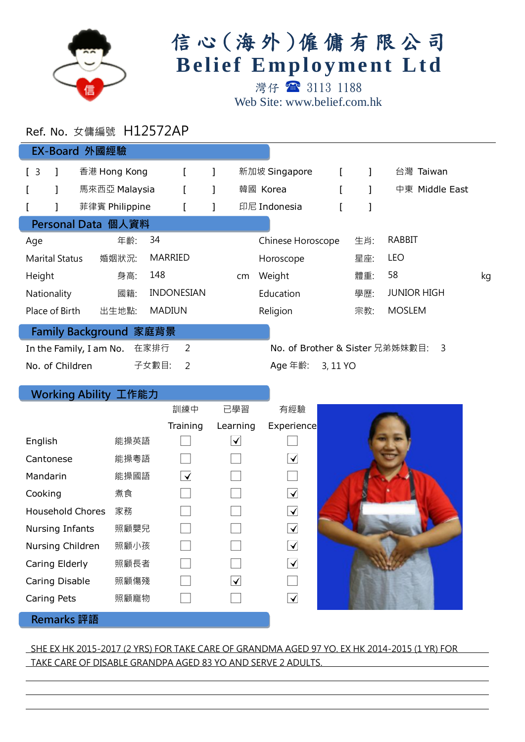

# 信心 (海外)僱傭有限公司 **Belief Employment Ltd**

灣仔 3113 1188 Web Site: www.belief.com.hk

## Ref. No. 女傭編號 H12572AP

| EX-Board 外國經驗                                                                             |                       |  |                |       |                   |  |    |                   |          |     |                    |    |
|-------------------------------------------------------------------------------------------|-----------------------|--|----------------|-------|-------------------|--|----|-------------------|----------|-----|--------------------|----|
| $\begin{bmatrix} 3 \end{bmatrix}$                                                         |                       |  | 香港 Hong Kong   |       |                   |  |    | 新加坡 Singapore     |          |     | 台灣 Taiwan          |    |
|                                                                                           |                       |  | 馬來西亞 Malaysia  |       |                   |  |    | 韓國 Korea          |          |     | 中東 Middle East     |    |
|                                                                                           |                       |  | 菲律賓 Philippine |       |                   |  |    | 印尼 Indonesia      |          |     |                    |    |
| Personal Data 個人資料                                                                        |                       |  |                |       |                   |  |    |                   |          |     |                    |    |
| Age                                                                                       |                       |  | 年齡:            | 34    |                   |  |    | Chinese Horoscope |          | 生肖: | <b>RABBIT</b>      |    |
|                                                                                           | <b>Marital Status</b> |  | 婚姻狀況:          |       | <b>MARRIED</b>    |  |    | Horoscope         |          | 星座: | <b>LEO</b>         |    |
| Height                                                                                    |                       |  | 身高:            | 148   |                   |  | cm | Weight            |          | 體重: | 58                 | kg |
|                                                                                           | Nationality           |  | 國籍:            |       | <b>INDONESIAN</b> |  |    | Education         |          | 學歷: | <b>JUNIOR HIGH</b> |    |
|                                                                                           | Place of Birth        |  | 出生地點:          |       | <b>MADIUN</b>     |  |    | Religion          |          | 宗教: | <b>MOSLEM</b>      |    |
| Family Background 家庭背景                                                                    |                       |  |                |       |                   |  |    |                   |          |     |                    |    |
| $\overline{2}$<br>在家排行<br>No. of Brother & Sister 兄弟姊妹數目:<br>3<br>In the Family, I am No. |                       |  |                |       |                   |  |    |                   |          |     |                    |    |
| No. of Children                                                                           |                       |  |                | 子女數目: | 2                 |  |    | Age 年齡:           | 3, 11 YO |     |                    |    |

### Working Ability 工作能力

|                         |      | 訓練中                  | 已學習      | 有經驗                               |  |
|-------------------------|------|----------------------|----------|-----------------------------------|--|
|                         |      | Training             | Learning | Experience                        |  |
| English                 | 能操英語 |                      | ✓        |                                   |  |
| Cantonese               | 能操粵語 |                      |          | $\left[\blacktriangledown\right]$ |  |
| Mandarin                | 能操國語 | $\blacktriangledown$ |          |                                   |  |
| Cooking                 | 煮食   |                      |          | $\blacktriangledown$              |  |
| <b>Household Chores</b> | 家務   |                      |          | $\blacktriangledown$              |  |
| Nursing Infants         | 照顧嬰兒 |                      |          | $\blacktriangledown$              |  |
| Nursing Children        | 照顧小孩 |                      |          | $\left[\blacktriangleleft\right]$ |  |
| Caring Elderly          | 照顧長者 |                      |          | $\blacktriangledown$              |  |
| Caring Disable          | 照顧傷殘 |                      | ✓        |                                   |  |
| Caring Pets             | 照顧寵物 |                      |          | $\blacktriangledown$              |  |
| <b>Domarke 部語</b>       |      |                      |          |                                   |  |

#### emarks 評詒

l

l

#### SHE EX HK 2015-2017 (2 YRS) FOR TAKE CARE OF GRANDMA AGED 97 YO. EX HK 2014-2015 (1 YR) FOR TAKE CARE OF DISABLE GRANDPA AGED 83 YO AND SERVE 2 ADULTS.